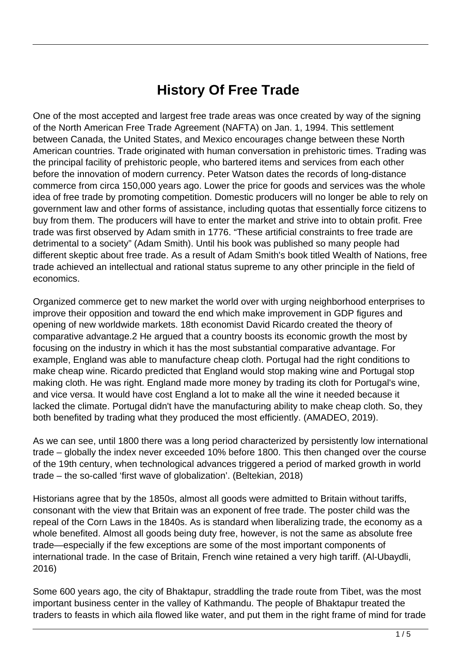# **History Of Free Trade**

One of the most accepted and largest free trade areas was once created by way of the signing of the North American Free Trade Agreement (NAFTA) on Jan. 1, 1994. This settlement between Canada, the United States, and Mexico encourages change between these North American countries. Trade originated with human conversation in prehistoric times. Trading was the principal facility of prehistoric people, who bartered items and services from each other before the innovation of modern currency. Peter Watson dates the records of long-distance commerce from circa 150,000 years ago. Lower the price for goods and services was the whole idea of free trade by promoting competition. Domestic producers will no longer be able to rely on government law and other forms of assistance, including quotas that essentially force citizens to buy from them. The producers will have to enter the market and strive into to obtain profit. Free trade was first observed by Adam smith in 1776. "These artificial constraints to free trade are detrimental to a society" (Adam Smith). Until his book was published so many people had different skeptic about free trade. As a result of Adam Smith's book titled Wealth of Nations, free trade achieved an intellectual and rational status supreme to any other principle in the field of economics.

Organized commerce get to new market the world over with urging neighborhood enterprises to improve their opposition and toward the end which make improvement in GDP figures and opening of new worldwide markets. 18th economist David Ricardo created the theory of comparative advantage.2 He argued that a country boosts its economic growth the most by focusing on the industry in which it has the most substantial comparative advantage. For example, England was able to manufacture cheap cloth. Portugal had the right conditions to make cheap wine. Ricardo predicted that England would stop making wine and Portugal stop making cloth. He was right. England made more money by trading its cloth for Portugal's wine, and vice versa. It would have cost England a lot to make all the wine it needed because it lacked the climate. Portugal didn't have the manufacturing ability to make cheap cloth. So, they both benefited by trading what they produced the most efficiently. (AMADEO, 2019).

As we can see, until 1800 there was a long period characterized by persistently low international trade – globally the index never exceeded 10% before 1800. This then changed over the course of the 19th century, when technological advances triggered a period of marked growth in world trade – the so-called 'first wave of globalization'. (Beltekian, 2018)

Historians agree that by the 1850s, almost all goods were admitted to Britain without tariffs, consonant with the view that Britain was an exponent of free trade. The poster child was the repeal of the Corn Laws in the 1840s. As is standard when liberalizing trade, the economy as a whole benefited. Almost all goods being duty free, however, is not the same as absolute free trade—especially if the few exceptions are some of the most important components of international trade. In the case of Britain, French wine retained a very high tariff. (Al-Ubaydli, 2016)

Some 600 years ago, the city of Bhaktapur, straddling the trade route from Tibet, was the most important business center in the valley of Kathmandu. The people of Bhaktapur treated the traders to feasts in which aila flowed like water, and put them in the right frame of mind for trade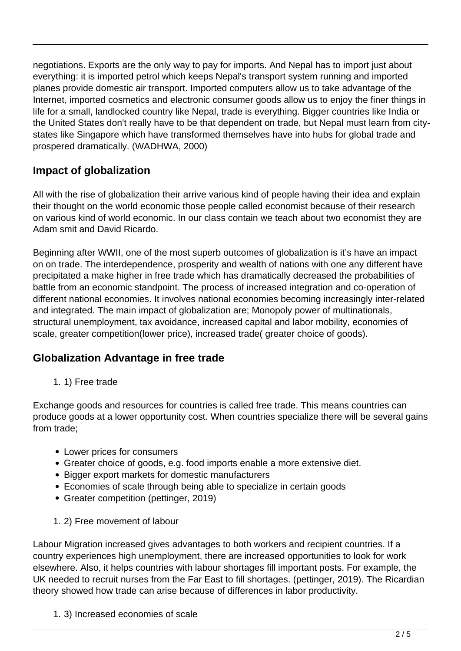negotiations. Exports are the only way to pay for imports. And Nepal has to import just about everything: it is imported petrol which keeps Nepal's transport system running and imported planes provide domestic air transport. Imported computers allow us to take advantage of the Internet, imported cosmetics and electronic consumer goods allow us to enjoy the finer things in life for a small, landlocked country like Nepal, trade is everything. Bigger countries like India or the United States don't really have to be that dependent on trade, but Nepal must learn from citystates like Singapore which have transformed themselves have into hubs for global trade and prospered dramatically. (WADHWA, 2000)

## **Impact of globalization**

All with the rise of globalization their arrive various kind of people having their idea and explain their thought on the world economic those people called economist because of their research on various kind of world economic. In our class contain we teach about two economist they are Adam smit and David Ricardo.

Beginning after WWII, one of the most superb outcomes of globalization is it's have an impact on on trade. The interdependence, prosperity and wealth of nations with one any different have precipitated a make higher in free trade which has dramatically decreased the probabilities of battle from an economic standpoint. The process of increased integration and co-operation of different national economies. It involves national economies becoming increasingly inter-related and integrated. The main impact of globalization are; Monopoly power of multinationals, structural unemployment, tax avoidance, increased capital and labor mobility, economies of scale, greater competition(lower price), increased trade( greater choice of goods).

#### **Globalization Advantage in free trade**

1. 1) Free trade

Exchange goods and resources for countries is called free trade. This means countries can produce goods at a lower opportunity cost. When countries specialize there will be several gains from trade;

- Lower prices for consumers
- Greater choice of goods, e.g. food imports enable a more extensive diet.
- Bigger export markets for domestic manufacturers
- Economies of scale through being able to specialize in certain goods
- Greater competition (pettinger, 2019)
- 1. 2) Free movement of labour

Labour Migration increased gives advantages to both workers and recipient countries. If a country experiences high unemployment, there are increased opportunities to look for work elsewhere. Also, it helps countries with labour shortages fill important posts. For example, the UK needed to recruit nurses from the Far East to fill shortages. (pettinger, 2019). The Ricardian theory showed how trade can arise because of differences in labor productivity.

1. 3) Increased economies of scale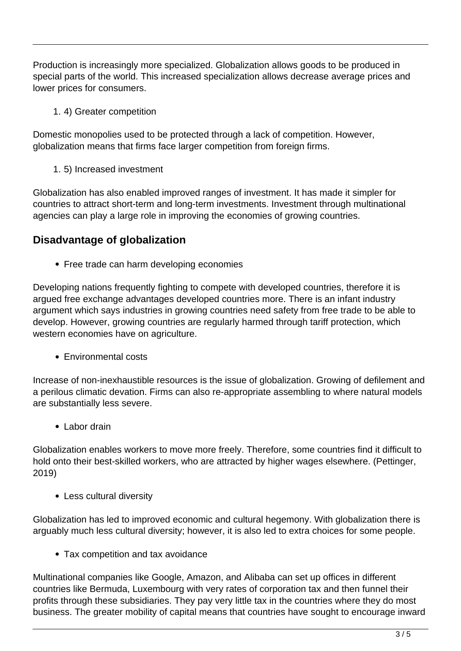Production is increasingly more specialized. Globalization allows goods to be produced in special parts of the world. This increased specialization allows decrease average prices and lower prices for consumers.

1. 4) Greater competition

Domestic monopolies used to be protected through a lack of competition. However, globalization means that firms face larger competition from foreign firms.

1. 5) Increased investment

Globalization has also enabled improved ranges of investment. It has made it simpler for countries to attract short-term and long-term investments. Investment through multinational agencies can play a large role in improving the economies of growing countries.

### **Disadvantage of globalization**

• Free trade can harm developing economies

Developing nations frequently fighting to compete with developed countries, therefore it is argued free exchange advantages developed countries more. There is an infant industry argument which says industries in growing countries need safety from free trade to be able to develop. However, growing countries are regularly harmed through tariff protection, which western economies have on agriculture.

• Environmental costs

Increase of non-inexhaustible resources is the issue of globalization. Growing of defilement and a perilous climatic devation. Firms can also re-appropriate assembling to where natural models are substantially less severe.

 $\bullet$  Labor drain

Globalization enables workers to move more freely. Therefore, some countries find it difficult to hold onto their best-skilled workers, who are attracted by higher wages elsewhere. (Pettinger, 2019)

Less cultural diversity

Globalization has led to improved economic and cultural hegemony. With globalization there is arguably much less cultural diversity; however, it is also led to extra choices for some people.

Tax competition and tax avoidance

Multinational companies like Google, Amazon, and Alibaba can set up offices in different countries like Bermuda, Luxembourg with very rates of corporation tax and then funnel their profits through these subsidiaries. They pay very little tax in the countries where they do most business. The greater mobility of capital means that countries have sought to encourage inward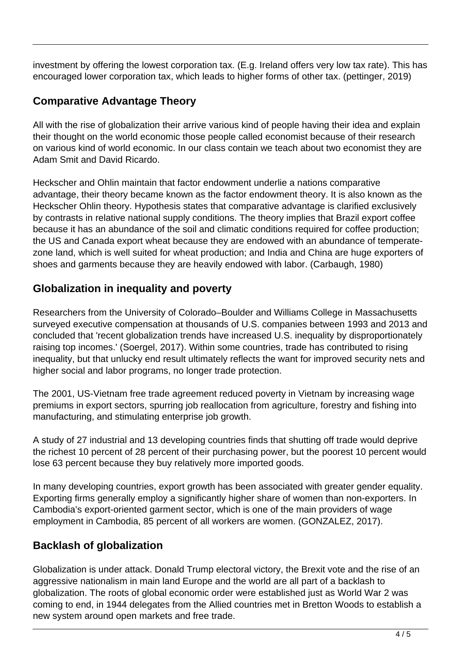investment by offering the lowest corporation tax. (E.g. Ireland offers very low tax rate). This has encouraged lower corporation tax, which leads to higher forms of other tax. (pettinger, 2019)

### **Comparative Advantage Theory**

All with the rise of globalization their arrive various kind of people having their idea and explain their thought on the world economic those people called economist because of their research on various kind of world economic. In our class contain we teach about two economist they are Adam Smit and David Ricardo.

Heckscher and Ohlin maintain that factor endowment underlie a nations comparative advantage, their theory became known as the factor endowment theory. It is also known as the Heckscher Ohlin theory. Hypothesis states that comparative advantage is clarified exclusively by contrasts in relative national supply conditions. The theory implies that Brazil export coffee because it has an abundance of the soil and climatic conditions required for coffee production; the US and Canada export wheat because they are endowed with an abundance of temperatezone land, which is well suited for wheat production; and India and China are huge exporters of shoes and garments because they are heavily endowed with labor. (Carbaugh, 1980)

### **Globalization in inequality and poverty**

Researchers from the University of Colorado–Boulder and Williams College in Massachusetts surveyed executive compensation at thousands of U.S. companies between 1993 and 2013 and concluded that 'recent globalization trends have increased U.S. inequality by disproportionately raising top incomes.' (Soergel, 2017). Within some countries, trade has contributed to rising inequality, but that unlucky end result ultimately reflects the want for improved security nets and higher social and labor programs, no longer trade protection.

The 2001, US-Vietnam free trade agreement reduced poverty in Vietnam by increasing wage premiums in export sectors, spurring job reallocation from agriculture, forestry and fishing into manufacturing, and stimulating enterprise job growth.

A study of 27 industrial and 13 developing countries finds that shutting off trade would deprive the richest 10 percent of 28 percent of their purchasing power, but the poorest 10 percent would lose 63 percent because they buy relatively more imported goods.

In many developing countries, export growth has been associated with greater gender equality. Exporting firms generally employ a significantly higher share of women than non-exporters. In Cambodia's export-oriented garment sector, which is one of the main providers of wage employment in Cambodia, 85 percent of all workers are women. (GONZALEZ, 2017).

#### **Backlash of globalization**

Globalization is under attack. Donald Trump electoral victory, the Brexit vote and the rise of an aggressive nationalism in main land Europe and the world are all part of a backlash to globalization. The roots of global economic order were established just as World War 2 was coming to end, in 1944 delegates from the Allied countries met in Bretton Woods to establish a new system around open markets and free trade.